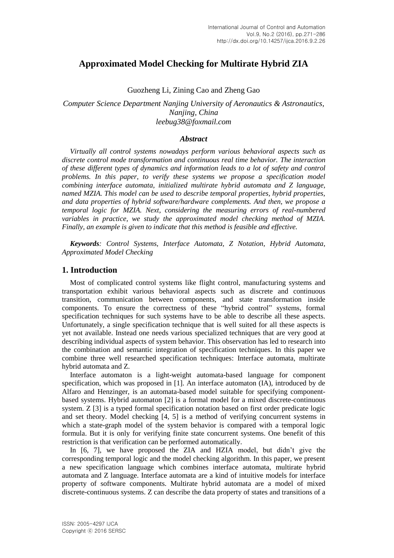# **Approximated Model Checking for Multirate Hybrid ZIA**

Guozheng Li, Zining Cao and Zheng Gao

*Computer Science Department Nanjing University of Aeronautics & Astronautics, Nanjing, China leebug38@foxmail.com*

### *Abstract*

*Virtually all control systems nowadays perform various behavioral aspects such as discrete control mode transformation and continuous real time behavior. The interaction of these different types of dynamics and information leads to a lot of safety and control problems. In this paper, to verify these systems we propose a specification model combining interface automata, initialized multirate hybrid automata and Z language, named MZIA. This model can be used to describe temporal properties, hybrid properties, and data properties of hybrid software/hardware complements. And then, we propose a temporal logic for MZIA. Next, considering the measuring errors of real-numbered variables in practice, we study the approximated model checking method of MZIA. Finally, an example is given to indicate that this method is feasible and effective.*

*Keywords: Control Systems, Interface Automata, Z Notation, Hybrid Automata, Approximated Model Checking*

# **1. Introduction**

Most of complicated control systems like flight control, manufacturing systems and transportation exhibit various behavioral aspects such as discrete and continuous transition, communication between components, and state transformation inside components. To ensure the correctness of these "hybrid control" systems, formal specification techniques for such systems have to be able to describe all these aspects. Unfortunately, a single specification technique that is well suited for all these aspects is yet not available. Instead one needs various specialized techniques that are very good at describing individual aspects of system behavior. This observation has led to research into the combination and semantic integration of specification techniques. In this paper we combine three well researched specification techniques: Interface automata, multirate hybrid automata and Z.

Interface automaton is a light-weight automata-based language for component specification, which was proposed in [1]. An interface automaton (IA), introduced by de Alfaro and Henzinger, is an automata-based model suitable for specifying componentbased systems. Hybrid automaton [2] is a formal model for a mixed discrete-continuous system. Z [3] is a typed formal specification notation based on first order predicate logic and set theory. Model checking [4, 5] is a method of verifying concurrent systems in which a state-graph model of the system behavior is compared with a temporal logic formula. But it is only for verifying finite state concurrent systems. One benefit of this restriction is that verification can be performed automatically.

In [6, 7], we have proposed the ZIA and HZIA model, but didn't give the corresponding temporal logic and the model checking algorithm. In this paper, we present a new specification language which combines interface automata, multirate hybrid automata and Z language. Interface automata are a kind of intuitive models for interface property of software components. Multirate hybrid automata are a model of mixed discrete-continuous systems. Z can describe the data property of states and transitions of a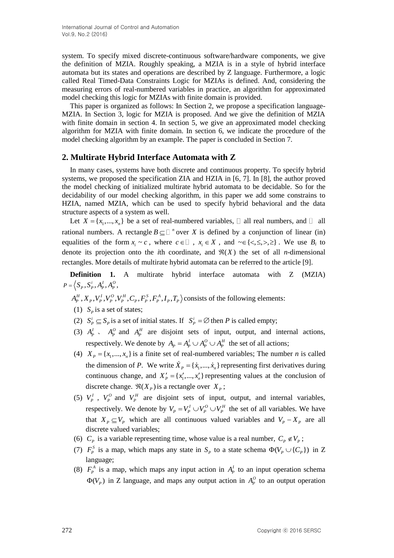system. To specify mixed discrete-continuous software/hardware components, we give the definition of MZIA. Roughly speaking, a MZIA is in a style of hybrid interface automata but its states and operations are described by Z language. Furthermore, a logic called Real Timed-Data Constraints Logic for MZIAs is defined. And, considering the measuring errors of real-numbered variables in practice, an algorithm for approximated model checking this logic for MZIAs with finite domain is provided.

This paper is organized as follows: In Section 2, we propose a specification language-MZIA. In Section 3, logic for MZIA is proposed. And we give the definition of MZIA with finite domain in section 4. In section 5, we give an approximated model checking algorithm for MZIA with finite domain. In section 6, we indicate the procedure of the model checking algorithm by an example. The paper is concluded in Section 7.

# **2. Multirate Hybrid Interface Automata with Z**

In many cases, systems have both discrete and continuous property. To specify hybrid systems, we proposed the specification ZIA and HZIA in [6, 7]. In [8], the author proved the model checking of initialized multirate hybrid automata to be decidable. So for the [decidability](app:ds:decidability) of our model checking algorithm, in this paper we add some constrains to HZIA, named MZIA, which can be used to specify hybrid behavioral and the data structure aspects of a system as well.

Let  $X = \{x_1, ..., x_n\}$  be a set of real-numbered variables,  $\Box$  all real numbers, and  $\Box$  all rational numbers. A rectangle  $B \subseteq \Box$  <sup>n</sup> over *X* is defined by a conjunction of linear (in) equalities of the form  $x_i \sim c$ , where  $c \in \mathbb{I}$ ,  $x_i \in X$ , and  $\sim \in \{ \leq, \leq, \geq, \geq \}$ . We use  $B_i$  to denote its projection onto the *i*th coordinate, and  $\Re(X)$  the set of all *n*-dimensional rectangles. More details of multirate hybrid automata can be referred to the article [9].

**Definition 1.** A multirate hybrid interface automata with Z (MZIA)  $,S_p^i, A_p^I, A_p^O,$ 

- $P = \left\langle S_p, S_p^i, A_p^I, A_p^O, \right.$ <br>  $A_p^H, X_p, V_p^I, V_p^O, V_p^H, C_p, F_p^S, F_p^A, I_p, T_p \right\rangle$  consists of the following elements:
	- (1)  $S_p$  is a set of states;
	- (2)  $S_p^i \subseteq S_p$  is a set of initial states. If  $S_p^i = \emptyset$  then *P* is called empty;
	- (3)  $A_p^I$ ,  $A_p^O$  and  $A_p^H$  are disjoint sets of input, output, and internal actions, respectively. We denote by  $A_p = A_p^I \cup A_p^O \cup A_p^H$  the set of all actions;
	- (4)  $X_p = \{x_1, ..., x_n\}$  is a finite set of real-numbered variables; The number *n* is called the dimension of *P*. We write  $\dot{X}_p = {\{\dot{x}_1, ..., \dot{x}_n\}}$  representing first derivatives during continuous change, and  $X'_{P} = \{x'_{1},...,x'_{n}\}$  representing values at the conclusion of discrete change.  $\Re(X_P)$  is a rectangle over  $X_P$ ;
	- (5)  $V_P^I$ ,  $V_P^O$  and  $V_P^H$  are disjoint sets of input, output, and internal variables, respectively. We denote by  $V_p = V_p^I \cup V_p^O \cup V_p^H$  the set of all variables. We have that  $X_p \subseteq V_p$  which are all continuous valued variables and  $V_p - X_p$  are all discrete valued variables;
	- (6)  $C_p$  is a variable representing time, whose value is a real number,  $C_p \notin V_p$ ;
	- (7)  $F_p^s$  is a map, which maps any state in  $S_p$  to a state schema  $\Phi(V_p \cup \{C_p\})$  in Z language;
	- (8)  $F_p^A$  is a map, which maps any input action in  $A_p^I$  to an input operation schema  $\Phi(V_p)$  in Z language, and maps any output action in  $A_p^0$  to an output operation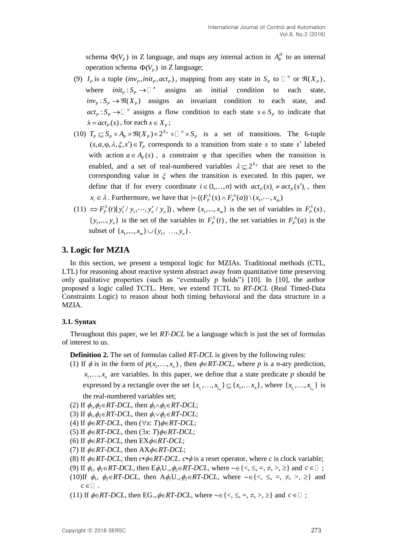schema  $\Phi(V_p)$  in Z language, and maps any internal action in  $A_p^H$  to an internal operation schema  $\Phi(V_P)$  in Z language;

- (9)  $I_p$  is a tuple  $(inv_p, init_p, act_p)$ , mapping from any state in  $S_p$  to  $\Box^n$  or  $\Re(X_p)$ , where  $init_{P}$ :  $S_{P}$   $\rightarrow \Box$ <sup>n</sup> assigns an initial condition to each state,  $inv_{\text{P}} : S_{\text{P}} \to \Re(X_{\text{P}})$  assigns an invariant condition to each state, and  $act_P: S_P \to \square$ <sup>n</sup> assigns a flow condition to each state  $s \in S_P$  to indicate that  $\dot{x} = act_{P}(s)$ , for each  $x \in X_{P}$ ;
- $x = act_{P}(s)$ , for each  $x \in X_{P}$ ;<br>(10)  $T_{P} \subseteq S_{P} \times A_{P} \times \Re(X_{P}) \times 2^{X_{P}} \times \Box^{n} \times S_{P}$  is a set of transitions. The 6-tuple  $(s, a, \varphi, \lambda, \xi, s') \in T_p$  corresponds to a transition from state s to state s' labeled with action  $a \in A_p(s)$ , a constraint  $\varphi$  that specifies when the transition is enabled, and a set of real-numbered variables  $\lambda \subseteq 2^{X_p}$  that are reset to the corresponding value in  $\xi$  when the transition is executed. In this paper, we define that if for every coordinate  $i \in \{1, ..., n\}$  with  $act_p(s)$ <sub>*i*</sub>  $\neq act_p(s')$ <sub>*i*</sub>, then  $x_i \in \lambda$ . Furthermore, we have that  $\vert = ((F_p^S(s) \wedge F_p^A(a)) \setminus (x_1, \dots, x_m))$
- (11)  $\Leftrightarrow F_p^S(t)[y'_1/y_1, \dots, y'_n/y_n]$ , where  $\{x_1, \dots, x_m\}$  is the set of variables in  $F_p^S(s)$ ,  $\{y_1, ..., y_n\}$  is the set of the variables in  $F_p^s(t)$ , the set variables in  $F_p^A(a)$  is the subset of  $\{x_1, ..., x_m\} \cup \{y_1, ..., y_n\}$ .

# **3. Logic for MZIA**

In this section, we present a temporal logic for MZIAs. Traditional methods (CTL, LTL) for reasoning about reactive system abstract away from quantitative time preserving only qualitative properties (such as "eventually *p* holds") [10]. In [10], the author proposed a logic called TCTL. Here, we extend TCTL to *RT-DCL* (Real Timed-Data Constraints Logic) to reason about both timing behavioral and the data structure in a MZIA.

# **3.1. Syntax**

Throughout this paper, we let *RT-DCL* be a language which is just the set of formulas of interest to us.

**Definition 2.** The set of formulas called *RT-DCL* is given by the following rules:

(1) If  $\phi$  is in the form of  $p(x_1, ..., x_n)$ , then  $\phi \in RT-DCL$ , where p is a *n*-ary prediction,  $x_1, \ldots, x_n$  are variables. In this paper, we define that a state predicate p should be expressed by a rectangle over the set  $\{x_{i_1},...,x_{i_m}\}\subseteq \{x_1,...,x_n\}$ , where  $\{x_{i_1},...,x_{i_m}\}$  is the real-numbered variables set;

- (2) If  $\phi_1, \phi_2 \in RT-DCL$ , then  $\phi_1 \wedge \phi_2 \in RT-DCL$ ;
- (3) If  $\phi_1, \phi_2 \in RT-DCL$ , then  $\phi_1 \lor \phi_2 \in RT-DCL$ ;
- (4) If  $\phi \in RT-DCL$ , then  $(\forall x: T)\phi \in RT-DCL$ ;
- (5) If  $\phi \in RT-DCL$ , then  $(\exists x: T)\phi \in RT-DCL$ ;
- (6) If  $\phi \in RT-DCL$ , then  $EX\phi \in RT-DCL$ ;
- (7) If  $\phi \in RT-DCL$ , then  $AX\phi \in RT-DCL$ ;
- (8) If  $\phi \in RT-DCL$ , then  $c \cdot \phi \in RT-DCL$ .  $c \cdot \phi$  is a reset operator, where *c* is clock variable;
- (9) If  $\phi_1, \phi_2 \in RT\text{-}DCL$ , then  $E\phi_1 U_{\neg c}\phi_2 \in RT\text{-}DCL$ , where  $\sim \in \{<, \leq, =, \neq, >, \geq\}$  and  $c \in \Box$ ;
- (10)If  $\phi_1$ ,  $\phi_2 \in RT-DCL$ , then  $A\phi_1 U_{\neg x} \phi_2 \in RT-DCL$ , where  $\sim \in \{<, \leq, =, \neq, >, \geq\}$  and  $c \in \square$ .
- (11) If  $\phi \in RT\text{-}DCL$ , then  $EG_{\sim c} \phi \in RT\text{-}DCL$ , where  $\sim \in \{ \leq \leq n; \neq n; \geq n \}$  and  $c \in \mathbb{Z}$ ;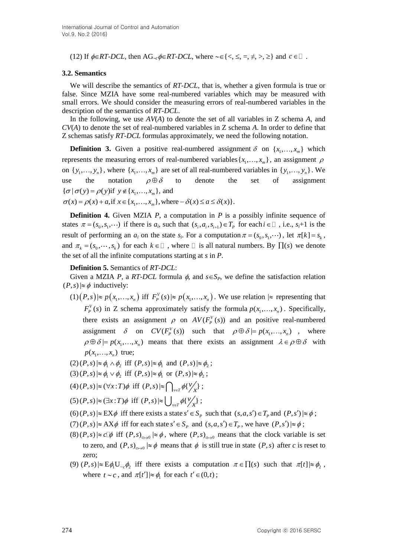(12) If  $\phi \in RT\text{-}DCL$ , then  $AG_{\sim c}\phi \in RT\text{-}DCL$ , where  $\sim \in \{<, \leq, =, \neq, >, \geq\}$  and  $c \in \Box$ .

### **3.2. Semantics**

We will describe the semantics of *RT-DCL*, that is, whether a given formula is true or false. Since MZIA have some real-numbered variables which may be measured with small errors. We should consider the measuring errors of real-numbered variables in the description of the semantics of *RT-DCL*.

In the following, we use *AV*(*A*) to denote the set of all variables in Z schema *A*, and *CV*(*A*) to denote the set of real-numbered variables in Z schema *A*. In order to define that Z schemas satisfy *RT-DCL* formulas approximately, we need the following notation.

**Definition 3.** Given a positive real-numbered assignment  $\delta$  on  $\{x_1, \ldots, x_m\}$  which represents the measuring errors of real-numbered variables  $\{x_1, \ldots, x_m\}$ , an assignment  $\rho$ on  $\{y_1, \ldots, y_n\}$ , where  $\{x_1, \ldots, x_m\}$  are set of all real-numbered variables in  $\{y_1, \ldots, y_n\}$ . We use the notation  $\rho \oplus \delta$ to denote the set of assignment use the notation  $\rho \oplus \delta$ <br>{ $\sigma | \sigma(y) = \rho(y)$ if  $y \notin \{x_1, ..., x_m\}$ , and { $\sigma | \sigma(y) = \rho(y)$ if  $y \notin \{x_1,...,x_m\}$ , and<br> $\sigma(x) = \rho(x) + a$ , if  $x \in \{x_1,...,x_m\}$ , where  $-\delta(x) \le a \le \delta(x)$ }.

**Definition 4.** Given MZIA *P*, a computation in *P* is a possibly infinite sequence of states  $\pi = (s_0, s_1, \dots)$  if there is  $a_i$ , such that  $(s_i, a_i, s_{i+1}) \in T_p$  for each  $i \in \mathbb{I}$ , i.e.,  $s_i+1$  is the result of performing an  $a_i$  on the state  $s_i$ . For a computation  $\pi = (s_0, s_1, \dots)$ , let  $\pi[k] = s_k$ , and  $\pi_k = (s_0, \dots, s_k)$  for each  $k \in \mathbb{Z}$ , where  $\mathbb{Z}$  is all natural numbers. By  $\prod(s)$  we denote the set of all the infinite computations starting at *s* in *P*.

#### **Definition 5.** Semantics of *RT-DCL*:

Given a MZIA *P*, a *RT-DCL* formula  $\phi$ , and  $s \in S_p$ , we define the satisfaction relation  $(P, s) \approx \phi$  inductively:

 $(1) (P,s) \approx p(x_1,...,x_n)$  iff  $F_p^V(s) \approx p(x_1,...,x_n)$ . We use relation  $\approx$  representing that  $F_p^V(s)$  in Z schema approximately satisfy the formula  $p(x_1, ..., x_n)$ . Specifically, there exists an assignment  $\rho$  on  $AV(F_p^V(s))$  and an positive real-numbered assignment  $\delta$  on  $CV(F_p^V(s))$  such that  $\rho \oplus \delta \models p(x_1,...,x_n)$ , where  $\rho \oplus \delta = p(x_1, ..., x_n)$  means that there exists an assignment  $\lambda \in \rho \oplus \delta$  with  $p(x_1, \ldots, x_n)$  true;

 $(2)(P,s) \approx \phi_1 \wedge \phi_2$  iff  $(P,s) \approx \phi_1$  and  $(P,s) \approx \phi_2$ ;

- $(3)(P,s) \approx \phi_1 \vee \phi_2$  iff  $(P,s) \approx \phi_1$  or  $(P,s) \approx \phi_2$ ;
- $(4)(P,s) \approx (\forall x : T)\phi \text{ iff } (P,s) \approx \bigcap_{\nu \in T} \phi\{ \frac{\nu}{x} \} ;$
- $(5)(P,s) \approx (\exists x : T) \phi \text{ iff } (P,s) \approx \bigcup_{v \in T} \phi\{V_{\chi}\};$
- $(6)(P,s) \approx \mathbb{E} \mathbb{X} \phi$  iff there exists a state  $s' \in S_p$  such that  $(s, a, s') \in T_p$  and  $(P, s') \approx \phi$ ;
- $(7)(P,s) \approx AX\phi$  iff for each state  $s' \in S_p$  and  $(s,a,s') \in T_p$ , we have  $(P,s') \approx \phi$ ;
- $(8)(P,s) \approx c \phi$  iff  $(P,s)_{c \mapsto 0} \approx \phi$ , where  $(P,s)_{c \mapsto 0}$  means that the clock variable is set to zero, and  $(P, s)_{c \mapsto 0} \mid \approx \phi$  means that  $\phi$  is still true in state  $(P, s)$  after *c* is reset to zero;
- (9)  $(P, s) \approx E\phi_1 U_{s} \phi_2$  iff there exists a computation  $\pi \in \Pi(s)$  such that  $\pi[t] \approx \phi_2$ , where  $t \sim c$ , and  $\pi[t'] \approx \phi_1$  for each  $t' \in (0, t)$ ;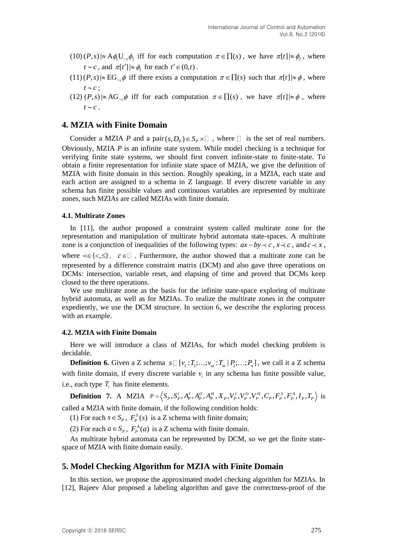- $(10)(P,s) \approx A \phi_1 U_{c} \phi_2$  iff for each computation  $\pi \in \Pi(s)$ , we have  $\pi[t] \approx \phi_2$ , where  $t \sim c$ , and  $\pi[t'] \approx \phi_1$  for each  $t' \in (0, t)$ .
- $(11)(P,s) \approx EG_{-c}\phi$  iff there exists a computation  $\pi \in \Pi(s)$  such that  $\pi[t] \approx \phi$ , where  $t \sim c$ ;
- $(12)$   $(P, s) \approx AG_{-c}\phi$  iff for each computation  $\pi \in \Pi(s)$ , we have  $\pi[t] \approx \phi$ , where  $t \sim c$ .

# **4. MZIA with Finite Domain**

Consider a MZIA *P* and a pair  $(s, D_p) \in S_p \times \square$ , where  $\square$  is the set of real numbers. Obviously, MZIA *P* is an infinite state system. While model checking is a technique for verifying finite state systems, we should first convert infinite-state to finite-state. To obtain a finite representation for infinite state space of MZIA, we give the definition of MZIA with finite domain in this section. Roughly speaking, in a MZIA, each state and each action are assigned to a schema in Z language. If every discrete variable in any schema has finite possible values and continuous variables are represented by multirate zones, such MZIAs are called MZIAs with finite domain.

#### **4.1. Multirate Zones**

In [11], the author proposed a constraint system called multirate zone for the representation and manipulation of multirate hybrid automata state-spaces. A multirate zone is a conjunction of inequalities of the following types:  $ax - by < c$ ,  $x \prec c$ , and  $c \prec x$ , where  $\prec \in \{ \leq, \leq \}$ ,  $c \in \Box$ . Furthermore, the author showed that a multirate zone can be represented by a difference constraint matrix (DCM) and also gave three operations on DCMs: intersection, variable reset, and elapsing of time and proved that DCMs keep closed to the three operations.

We use multirate zone as the basis for the infinite state-space exploring of multirate hybrid automata, as well as for MZIAs. To realize the multirate zones in the computer expediently, we use the DCM structure. In section 6, we describe the exploring process with an example.

### **4.2. MZIA with Finite Domain**

Here we will introduce a class of MZIAs, for which model checking problem is decidable.

**Definition 6.** Given a Z schema  $s \square [v_1 : T_1; \ldots; v_m : T_m | P_1; \ldots; P_n]$ , we call it a Z schema with finite domain, if every discrete variable  $v_i$  in any schema has finite possible value, i.e., each type  $T_i$  has finite elements.

, each type  $T_i$  has finite elements.<br> **Definition 7.** A MZIA  $P = (S_p, S_p^i, A_p^I, A_p^O, A_p^H, X_p, V_p^I, V_p^O, V_p^H, C_p, F_p^S, F_p^A, I_p,$  $\frac{i}{2}A_1^I A_2^O A_3^H X_3 V_2^I V_3^O V_4^H C_3 F_3^S F_3^A$ *P* =  $\langle S_p, S_p^i, A_p^I, A_p^O, A_p^H, X_p, V_p^I, V_p^O, V_p^H, C_p, F_p^S, F_p^A, I_p, T_p \rangle$  is called a MZIA with finite domain, if the following condition holds:

(1) For each  $s \in S_p$ ,  $F_p^s(s)$  is a Z schema with finite domain;

(2) For each  $a \in S_p$ ,  $F_p^A(a)$  is a Z schema with finite domain.

As multirate hybrid automata can be represented by DCM, so we get the finite statespace of MZIA with finite domain easily.

# **5. Model Checking Algorithm for MZIA with Finite Domain**

In this section, we propose the approximated model checking algorithm for MZIAs. In [12], Rajeev Alur proposed a labeling algorithm and gave the correctness-proof of the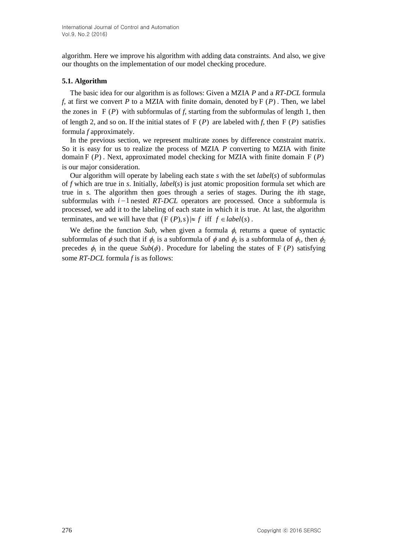algorithm. Here we improve his algorithm with adding data constraints. And also, we give our thoughts on the implementation of our model checking procedure.

### **5.1. Algorithm**

The basic idea for our algorithm is as follows: Given a MZIA *P* and a *RT-DCL* formula *f*, at first we convert *P* to a MZIA with finite domain, denoted by  $F(P)$ . Then, we label the zones in  $F(P)$  with subformulas of f, starting from the subformulas of length 1, then of length 2, and so on. If the initial states of  $F(P)$  are labeled with *f*, then  $F(P)$  satisfies formula *f* approximately.

In the previous section, we represent multirate zones by difference constraint matrix. So it is easy for us to realize the process of MZIA *P* converting to MZIA with finite domain  $F(P)$ . Next, approximated model checking for MZIA with finite domain  $F(P)$ is our major consideration.

Our algorithm will operate by labeling each state *s* with the set *label*(*s*) of subformulas of *f* which are true in *s*. Initially, *label*(*s*) is just atomic proposition formula set which are true in *s*. The algorithm then goes through a series of stages. During the *i*th stage, subformulas with  $i-1$  nested  $RT-DCL$  operators are processed. Once a subformula is processed, we add it to the labeling of each state in which it is true. At last, the algorithm terminates, and we will have that  $(F(P), s) \approx f$  iff  $f \in label(s)$ .

We define the function *Sub*, when given a formula  $\phi$ , returns a queue of syntactic subformulas of  $\phi$  such that if  $\phi_1$  is a subformula of  $\phi$  and  $\phi_2$  is a subformula of  $\phi_1$ , then  $\phi_2$ precedes  $\phi_1$  in the queue  $Sub(\phi)$ . Procedure for labeling the states of F(P) satisfying some *RT-DCL* formula *f* is as follows: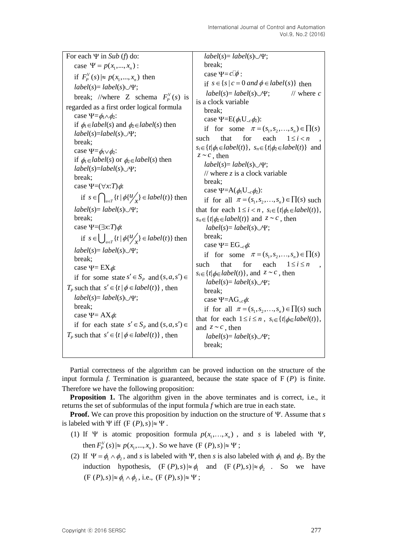| For each $\Psi$ in Sub (f) do:<br>case $\Psi = p(x_1, , x_n)$ :<br>if $F_p^V(s) \approx p(x_1,,x_n)$ then<br>$label(s) = label(s) \cup \Psi;$<br>break; //where Z schema $F_p^V(s)$ is<br>regarded as a first order logical formula<br>case $\Psi = \phi_1 \wedge \phi_2$ :<br>if $\phi_1 \in label(s)$ and $\phi_2 \in label(s)$ then<br>$label(s)=label(s)\cup\Psi;$<br>break;<br>case $\Psi = \phi_1 \vee \phi_2$ :<br>if $\phi_1 \in label(s)$ or $\phi_2 \in label(s)$ then<br>$label(s)=label(s)\cup\Psi;$<br>break;<br>case $\Psi = (\forall x : T) \phi$ :<br>if $s \in \bigcap_{u \in \mathcal{T}} \{t \mid \phi\{t\}'_{x}\} \in label(t)\}$ then<br>$label(s)=label(s)\cup\Psi;$<br>break;<br>case $\Psi = (\exists x : T) \phi$ :<br>if $s \in \bigcup_{u \in \mathcal{T}} \{t \mid \phi\{t\}'_x\} \in label(t)\}$ then<br>$label(s)=label(s)\cup\Psi;$<br>break;<br>case $\Psi = EX \phi$ :<br>if for some state $s' \in S_p$ and $(s, a, s') \in$<br>$T_p$ such that $s' \in \{t \mid \phi \in label(t)\}\,$ , then<br>$label(s)=label(s)\cup\Psi;$ | $label(s) = label(s) \cup \Psi;$<br>break;<br>case $\Psi = c \phi$ :<br>if $s \in \{s \mid c = 0 \text{ and } \phi \in label(s)\}\$ then<br>// where $c$<br>$label(s)=label(s)\cup\Psi;$<br>is a clock variable<br>break;<br>case $\Psi = E(\phi_1 U_{c} \phi_2)$ :<br>if for some $\pi = (s_1, s_2, \ldots, s_n) \in \prod(s)$<br>that<br>for<br>each $1 \leq i < n$<br>such<br>$s_i \in \{t   \phi_1 \in label(t)\}, s_n \in \{t   \phi_2 \in label(t)\}$ and<br>$z \sim c$ , then<br>$label(s) = label(s) \cup \Psi;$<br>// where $z$ is a clock variable<br>break;<br>case $\Psi = A(\phi_1 U_{\neg c}\phi_2)$ :<br>if for all $\pi = (s_1, s_2, \ldots, s_n) \in \prod(s)$ such<br>that for each $1 \le i < n$ , $s_i \in \{t   \phi_1 \in label(t)\}\,$ ,<br>$s_n \in \{t   \phi_2 \in label(t)\}\$ and $z \sim c$ , then<br>$label(s) = label(s) \cup \Psi;$<br>break;<br>case $\Psi = EG_{\sim c}\phi$ :<br>if for some $\pi = (s_1, s_2, \ldots, s_n) \in \prod(s)$<br>that<br>for<br>$1 \leq i \leq n$<br>such<br>each<br>$s_i \in \{t   \phi \in label(t)\}\$ , and $z \sim c$ , then<br>$label(s) = label(s) \cup \Psi;$<br>break;<br>case $\Psi = AG_{cc}\phi$ : |
|------------------------------------------------------------------------------------------------------------------------------------------------------------------------------------------------------------------------------------------------------------------------------------------------------------------------------------------------------------------------------------------------------------------------------------------------------------------------------------------------------------------------------------------------------------------------------------------------------------------------------------------------------------------------------------------------------------------------------------------------------------------------------------------------------------------------------------------------------------------------------------------------------------------------------------------------------------------------------------------------------------------------------------------------------------------|-------------------------------------------------------------------------------------------------------------------------------------------------------------------------------------------------------------------------------------------------------------------------------------------------------------------------------------------------------------------------------------------------------------------------------------------------------------------------------------------------------------------------------------------------------------------------------------------------------------------------------------------------------------------------------------------------------------------------------------------------------------------------------------------------------------------------------------------------------------------------------------------------------------------------------------------------------------------------------------------------------------------------------------------------------------------------------------------------------------------------------------------------------------------------------|
| break;<br>case $\Psi = AX\phi$ :<br>if for each state $s' \in S_p$ and $(s, a, s') \in$<br>$T_p$ such that $s' \in \{t \mid \phi \in label(t)\}\,$ , then                                                                                                                                                                                                                                                                                                                                                                                                                                                                                                                                                                                                                                                                                                                                                                                                                                                                                                        | if for all $\pi = (s_1, s_2, \ldots, s_n) \in \prod(s)$ such<br>that for each $1 \le i \le n$ , $s_i \in \{t   \phi \in label(t) \},\$<br>and $z \sim c$ , then<br>$label(s) = label(s) \cup \Psi;$<br>break;                                                                                                                                                                                                                                                                                                                                                                                                                                                                                                                                                                                                                                                                                                                                                                                                                                                                                                                                                                 |

Partial correctness of the algorithm can be proved induction on the structure of the input formula  $f$ . Termination is guaranteed, because the state space of  $F(P)$  is finite. Therefore we have the following proposition:

**Proposition 1.** The algorithm given in the above terminates and is correct, i.e., it returns the set of subformulas of the input formula *f* which are true in each state.

**Proof.** We can prove this proposition by induction on the structure of  $\Psi$ . Assume that *s* is labeled with  $\Psi$  iff  $(F(P), s) \approx \Psi$ .

- (1) If  $\Psi$  is atomic proposition formula  $p(x_1, ..., x_n)$ , and *s* is labeled with  $\Psi$ , then  $F_p^V(s) \approx p(x_1, ..., x_n)$ . So we have  $(F(P), s) \approx \Psi$ ;
- (2) If  $\Psi = \phi_1 \wedge \phi_2$ , and *s* is labeled with  $\Psi$ , then *s* is also labeled with  $\phi_1$  and  $\phi_2$ . By the induction hypothesis,  $(F(P), s) \approx \phi_1$  and  $(F(P), s) \approx \phi_2$ . So we have  $(F(P), s) \approx \phi_1 \wedge \phi_2$ , i.e.,  $(F(P), s) \approx \Psi$ ;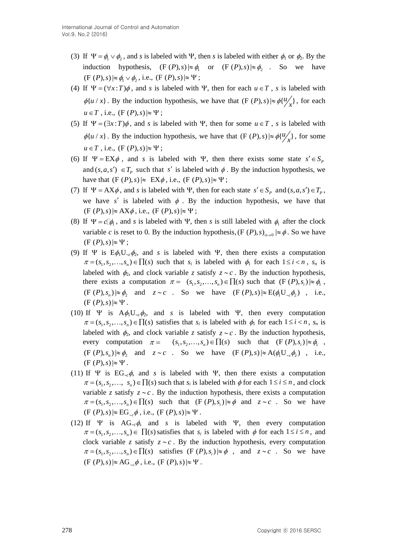- (3) If  $\Psi = \phi_1 \vee \phi_2$ , and *s* is labeled with  $\Psi$ , then *s* is labeled with either  $\phi_1$  or  $\phi_2$ . By the induction hypothesis,  $(F(P), s) \approx \phi_1$  or  $(F(P), s) \approx \phi_2$ . So we have  $(F(P), s) \approx \phi_1 \vee \phi_2$ , i.e.,  $(F(P), s) \approx \Psi$ ;
- (4) If  $\Psi = (\forall x : T)\phi$ , and *s* is labeled with  $\Psi$ , then for each  $u \in T$ , *s* is labeled with  $\phi\{u/x\}$ . By the induction hypothesis, we have that  $(F(P), s) \approx \phi\{u'_x\}$ , for each  $u \in T$ , i.e.,  $(F(P), s) \approx \Psi$ ;
- (5) If  $\Psi = (\exists x : T)\phi$ , and *s* is labeled with  $\Psi$ , then for some  $u \in T$ , *s* is labeled with  $\phi\{u/x\}$ . By the induction hypothesis, we have that  $(F(P), s) \approx \phi\{\frac{u}{x}\}\$ , for some  $u \in T$ , i.e.,  $(F(P), s) \approx \Psi$ ;
- (6) If  $\Psi = EX\phi$ , and *s* is labeled with  $\Psi$ , then there exists some state  $s' \in S_p$ and  $(s, a, s') \in T_p$  such that s' is labeled with  $\phi$ . By the induction hypothesis, we have that  $(F(P), s) \approx EX\phi$ , i.e.,  $(F(P), s) \approx \Psi$ ;
- (7) If  $\Psi = AX\phi$ , and *s* is labeled with  $\Psi$ , then for each state  $s' \in S_p$  and  $(s, a, s') \in T_p$ , we have  $s'$  is labeled with  $\phi$ . By the induction hypothesis, we have that  $(F (P), s) \approx AX\phi$ , i.e.,  $(F (P), s) \approx \Psi$ ;
- (8) If  $\Psi = c \phi_1$ , and *s* is labeled with  $\Psi$ , then *s* is still labeled with  $\phi_1$  after the clock variable *c* is reset to 0. By the induction hypothesis,  $(F (P), s)_{c \mapsto 0} \mid \approx \phi$ . So we have  $(F (P), s) \approx \Psi;$
- (9) If  $\Psi$  is  $E\phi_1U_{\neg \phi_2}$ , and *s* is labeled with  $\Psi$ , then there exists a computation  $\pi = (s_1, s_2, \dots, s_n) \in \prod(s)$  such that  $s_i$  is labeled with  $\phi_1$  for each  $1 \le i < n$ ,  $s_n$  is labeled with  $\phi_2$ , and clock variable *z* satisfy  $z \sim c$ . By the induction hypothesis, there exists a computation  $\pi = (s_1, s_2, ..., s_n) \in \prod(s)$  such that  $(F(P), s_i) \approx \phi_1$ ,  $(F(P), s_n) \approx \phi_2$  and  $z \sim c$  . So we have  $(F(P), s) \approx E(\phi_1 U_{c,c} \phi_2)$ , i.e.,  $(F (P), s) \approx \Psi$ .
- (10) If  $\Psi$  is  $A\phi_1U_{\neg c}\phi_2$ , and *s* is labeled with  $\Psi$ , then every computation  $\pi = (s_1, s_2, \dots, s_n) \in \prod(s)$  satisfies that  $s_i$  is labeled with  $\phi_1$  for each  $1 \le i < n$ ,  $s_n$  is labeled with  $\phi_2$ , and clock variable *z* satisfy  $z \sim c$ . By the induction hypothesis, every computation  $\pi = (s_1, s_2,..., s_n) \in \prod(s)$  such that  $(F(P), s_i) \approx \phi_1$ ,  $(F(P), s_n) \approx \phi_2$  and  $z \sim c$  So we have  $(F(P), s) \approx A(\phi_1 U_{c} \phi_2)$ , i.e.,  $(F (P), s) \approx \Psi$ .
- (11) If  $\Psi$  is EG<sub>c</sub> $\phi$ , and *s* is labeled with  $\Psi$ , then there exists a computation  $\pi = (s_1, s_2, \dots, s_n) \in \prod(s)$  such that  $s_i$  is labeled with  $\phi$  for each  $1 \le i \le n$ , and clock variable *z* satisfy  $z \sim c$ . By the induction hypothesis, there exists a computation  $\pi = (s_1, s_2, \ldots, s_n) \in \prod(s)$  such that  $(F(P), s_i) \approx \phi$  and  $z \sim c$ . So we have  $(F (P), s) \approx EG_{c} \phi$ , i.e.,  $(F (P), s) \approx \Psi$ .
- (12) If  $\Psi$  is AG<sub>c</sub> $\phi$ , and *s* is labeled with  $\Psi$ , then every computation  $\pi = (s_1, s_2, \ldots, s_n) \in \prod(s)$  satisfies that  $s_i$  is labeled with  $\phi$  for each  $1 \le i \le n$ , and clock variable *z* satisfy  $z \sim c$ . By the induction hypothesis, every computation  $\pi = (s_1, s_2, \dots, s_n) \in \prod(s)$  satisfies  $(F(P), s_i) \approx \emptyset$ , and  $z \sim c$ . So we have  $(F (P), s) \approx AG_{c} \phi$ , i.e.,  $(F (P), s) \approx \Psi$ .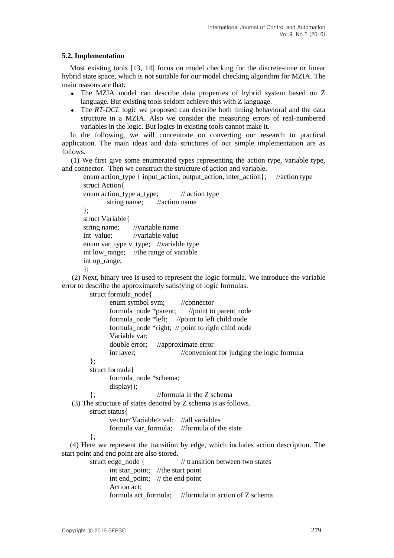### **5.2. Implementation**

Most existing tools [13, 14] focus on model checking for the discrete-time or linear hybrid state space, which is not suitable for our model checking algorithm for MZIA. The main reasons are that:

- The MZIA model can describe data properties of hybrid system based on Z language. But existing tools seldom achieve this with Z language.
- The *RT-DCL* logic we proposed can describe both timing behavioral and the data structure in a MZIA. Also we consider the measuring errors of real-numbered variables in the logic. But logics in existing tools cannot make it.

In the following, we will concentrate on converting our research to practical application. The main ideas and data structures of our simple implementation are as follows.

(1) We first give some enumerated types representing the action type, variable type, and connector. Then we construct the structure of action and variable.

enum action\_type { input\_action, output\_action, inter\_action}; //action type struct Action{

```
enum action_type a_type; // action type
       string name; //action name
};
struct Variable{
string name; //variable name
int value; //variable value
enum var_type v_type; //variable type
int low_range; //the range of variable
int up range;
};
```
(2) Next, binary tree is used to represent the logic formula. We introduce the variable error to describe the approximately satisfying of logic formulas.

```
struct formula_node{
               enum symbol sym; //connector
               formula_node *parent; //point to parent node
               formula_node *left; //point to left child node
               formula_node *right; // point to right child node
               Variable var;
               double error; //approximate error
               int layer; //convenient for judging the logic formula
        };
        struct formula{
               formula_node *schema;
               display();
         }; //formula in the Z schema
   (3) The structure of states denoted by Z schema is as follows.
        struct status{
               vector<Variable> val; //all variables
               formula var formula; //formula of the state
         };
  (4) Here we represent the transition by edge, which includes action description. The 
start point and end point are also stored.
        struct edge node { // transition between two states
               int star point; //the start point
               int end_point; // the end point
               Action act;
               formula act_formula; //formula in action of Z schema
```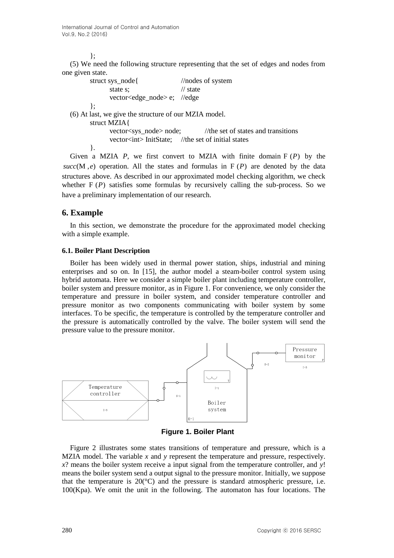#### };

(5) We need the following structure representing that the set of edges and nodes from one given state.

| struct sys_node{                                      | $\frac{1}{\sqrt{2}}$ //nodes of system                                 |  |  |
|-------------------------------------------------------|------------------------------------------------------------------------|--|--|
| state s:                                              | $\frac{1}{\sqrt{2}}$ state                                             |  |  |
| vector <edge_node>e; //edge</edge_node>               |                                                                        |  |  |
| ∤;                                                    |                                                                        |  |  |
| (6) At last, we give the structure of our MZIA model. |                                                                        |  |  |
| struct MZIA{                                          |                                                                        |  |  |
|                                                       | vector <sys_node> node; //the set of states and transitions</sys_node> |  |  |
|                                                       | vector <int>InitState; //the set of initial states</int>               |  |  |
|                                                       |                                                                        |  |  |
|                                                       | Given a MZIA P we first convert to MZIA with finite domain $F(P)$      |  |  |

Given a MZIA  $P$ , we first convert to MZIA with finite domain  $F(P)$  by the  $succ(M, e)$  operation. All the states and formulas in  $F(P)$  are denoted by the data structures above. As described in our approximated model checking algorithm, we check whether  $F(P)$  satisfies some formulas by recursively calling the sub-process. So we have a preliminary implementation of our research.

# **6. Example**

In this section, we demonstrate the procedure for the approximated model checking with a simple example.

### **6.1. Boiler Plant Description**

Boiler has been widely used in [thermal](app:ds:thermal) [power](app:ds:power) [station,](app:ds:station) ships, industrial and mining enterprises and so on. In [15], the author model a steam-boiler control system using hybrid automata. Here we consider a simple boiler plant including temperature controller, [boiler](app:ds:boiler) [system](app:ds:system) and pressure monitor, as in Figure 1. For convenience, we only consider the temperature and pressure in boiler system, and consider temperature controller and pressure monitor as two components communicating with boiler system by some interfaces. To be specific, the temperature is controlled by the temperature controller and the pressure is automatically controlled by the valve. The boiler system will send the pressure value to the pressure monitor.



**Figure 1. Boiler Plant**

Figure 2 illustrates some states transitions of temperature and pressure, which is a MZIA model. The variable *x* and *y* represent the temperature and pressure, respectively. *x*? means the boiler system receive a input signal from the temperature controller, and *y*! means the [boiler](app:ds:boiler) [system](app:ds:system) send a output signal to the pressure monitor. Initially, we suppose that the temperature is  $20^{\circ}$ C) and the pressure is [standard](app:ds:standard) [atmospheric](app:ds:atmospheric) [pressure,](app:ds:pressure) i.e. 100(Kpa). We omit the unit in the following. The automaton has four locations. The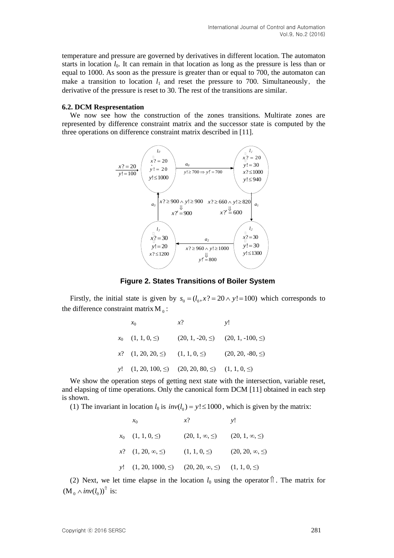temperature and pressure are governed by derivatives in different location. The automaton starts in location  $l_0$ . It can remain in that location as long as the pressure is less than or equal to 1000. As soon as the pressure is greater than or equal to 700, the automaton can make a transition to location  $l_1$  and reset the pressure to 700. [Simultaneously](app:ds:simultaneously), the derivative of the pressure is reset to 30. The rest of the transitions are similar.

#### **6.2. DCM Respresentation**

We now see how the construction of the zones transitions. Multirate zones are represented by difference constraint matrix and the successor state is computed by the three operations on difference constraint matrix described in [11].



**Figure 2. States Transitions of Boiler System**

Firstly, the initial state is given by  $s_0 = (l_0, x^2 = 20 \land y! = 100)$  which corresponds to the difference constraint matrix  $M_0$ :

| $x_0$ | $x$ ?                                                             | v! |
|-------|-------------------------------------------------------------------|----|
|       | $x_0$ $(1, 1, 0, \le)$ $(20, 1, -20, \le)$ $(20, 1, -100, \le)$   |    |
|       | $x$ ? $(1, 20, 20, \leq)$ $(1, 1, 0, \leq)$ $(20, 20, -80, \leq)$ |    |
|       | y! $(1, 20, 100, \leq)$ $(20, 20, 80, \leq)$ $(1, 1, 0, \leq)$    |    |

We show the operation steps of getting next state with the intersection, variable reset, and elapsing of time operations. Only the canonical form DCM [11] obtained in each step is shown.

(1) The invariant in location  $l_0$  is  $inv(l_0) = y! \le 1000$ , which is given by the matrix:

| $x_0$                                                                    | $x$ ?                                           | v! |
|--------------------------------------------------------------------------|-------------------------------------------------|----|
| $x_0$ $(1, 1, 0, \leq)$                                                  | $(20, 1, \infty, \leq)$ $(20, 1, \infty, \leq)$ |    |
| $x$ ? $(1, 20, \infty, \leq)$ $(1, 1, 0, \leq)$ $(20, 20, \infty, \leq)$ |                                                 |    |
| y! $(1, 20, 1000, \le)$ $(20, 20, \infty, \le)$ $(1, 1, 0, \le)$         |                                                 |    |

(2) Next, we let time elapse in the location  $l_0$  using the operator  $\hat{\parallel}$ . The matrix for  $(M_0 \wedge inv(l_0))^{\uparrow}$  is: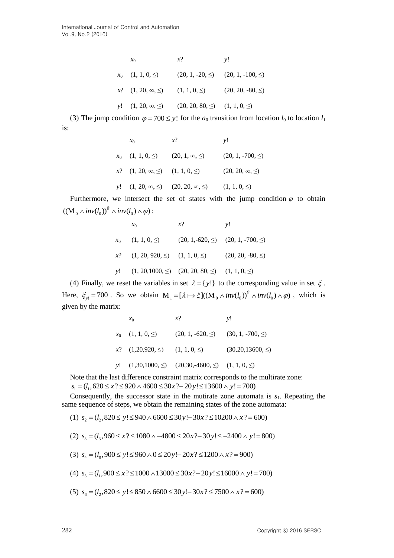| $x_0$ | $x$ ?                                                                 | v! |
|-------|-----------------------------------------------------------------------|----|
|       | $x_0$ $(1, 1, 0, \leq)$ $(20, 1, -20, \leq)$ $(20, 1, -100, \leq)$    |    |
|       | $x$ ? $(1, 20, \infty, \leq)$ $(1, 1, 0, \leq)$ $(20, 20, -80, \leq)$ |    |
|       | y! $(1, 20, \infty, \leq)$ $(20, 20, 80, \leq)$ $(1, 1, 0, \leq)$     |    |

(3) The jump condition  $\varphi = 700 \le y!$  for the  $a_0$  transition from location  $l_0$  to location  $l_1$ is:

| $x_0$ | $x$ ?                                                                 | v!                       |
|-------|-----------------------------------------------------------------------|--------------------------|
|       | $x_0$ $(1, 1, 0, \le)$ $(20, 1, \infty, \le)$ $(20, 1, -700, \le)$    |                          |
|       | $x$ ? $(1, 20, \infty, \leq)$ $(1, 1, 0, \leq)$                       | $(20, 20, \infty, \leq)$ |
|       | y! $(1, 20, \infty, \leq)$ $(20, 20, \infty, \leq)$ $(1, 1, 0, \leq)$ |                          |

Furthermore, we intersect the set of states with the jump condition  $\varphi$  to obtain  $((\mathrm{M}_0 \wedge inv(l_0))^{\uparrow} \wedge inv(l_0) \wedge \varphi)$ :

| $x_0$                                                               | $\chi$ ? | v! |
|---------------------------------------------------------------------|----------|----|
| $x_0$ $(1, 1, 0, \leq)$ $(20, 1, -620, \leq)$ $(20, 1, -700, \leq)$ |          |    |
| $x$ ? $(1, 20, 920, \leq)$ $(1, 1, 0, \leq)$ $(20, 20, -80, \leq)$  |          |    |
| y! $(1, 20, 1000, \le)$ $(20, 20, 80, \le)$ $(1, 1, 0, \le)$        |          |    |

(4) Finally, we reset the variables in set  $\lambda = \{y!\}$  to the corresponding value in set  $\xi$ . (4) Finally, we reset the variables in set  $\lambda = \{y!\}$  to the corresponding value in set  $\xi$ .<br>Here,  $\xi_{y!} = 700$ . So we obtain  $M_1 = [\lambda \mapsto \xi]((M_0 \wedge inv(l_0))^{\uparrow} \wedge inv(l_0) \wedge \varphi)$ , which is given by the matrix:

| $x_0$ | $x$ ?                                                                  | v! |
|-------|------------------------------------------------------------------------|----|
|       | $x_0$ (1, 1, 0, $\leq$ ) (20, 1, -620, $\leq$ ) (30, 1, -700, $\leq$ ) |    |
|       | $x$ ? $(1,20,920,\le)$ $(1, 1, 0, \le)$ $(30,20,13600,\le)$            |    |
|       | y! $(1,30,1000,\le)$ $(20,30,-4600,\le)$ $(1, 1, 0, \le)$              |    |

Note that the last difference constraint matrix corresponds to the multirate zone:

 $s_1 = (l_1, 620 \le x ? \le 920 \land 4600 \le 30x ? - 20y! \le 13600 \land y! = 700)$ 

Consequently, the successor state in the mutirate zone automata is  $s<sub>1</sub>$ . Repeating the same sequence of steps, we obtain the remaining states of the zone automata: Consequently, the successor state in the mutrizate zone automata is *s* me sequence of steps, we obtain the remaining states of the zone automate (1)  $s_2 = (l_2, 820 \le y! \le 940 \land 6600 \le 30y! \quad 30x? \le 10200 \land x? = 600)$ 

- 
- (2)  $s_3 = (l_3, 960 \le x ? \le 1080 \land -4800 \le 20x ? 30y ! \le -2400 \land y ! = 800)$  $s_2 = (l_2, 820 \le y! \le 940 \land 6600 \le 30y! \to 30x? \le 10200 \land x? = 600)$ <br>  $s_3 = (l_3, 960 \le x? \le 1080 \land -4800 \le 20x? \to 30y! \le -2400 \land y! = 800)$
- (2)  $s_3 = (l_3,960 \le x? \le 1080 \land -4800 \le 20x? 30y! \le -2400 \land y! =$ <br>(3)  $s_4 = (l_0,900 \le y! \le 960 \land 0 \le 20y! 20x? \le 1200 \land x? = 900)$
- (3)  $s_4 = (l_0, 900 \le y! \le 960 \land 0 \le 20y! 20x? \le 1200 \land x? = 900)$ <br>(4)  $s_5 = (l_1, 900 \le x? \le 1000 \land 13000 \le 30x? 20y! \le 16000 \land y! = 700)$
- (4)  $s_5 = (l_1,900 \le x? \le 1000 \land 13000 \le 30x? 20y! \le 16000 \land y! = 700)$ <br>(5)  $s_6 = (l_2,820 \le y! \le 850 \land 6600 \le 30y! 30x? \le 7500 \land x? = 600)$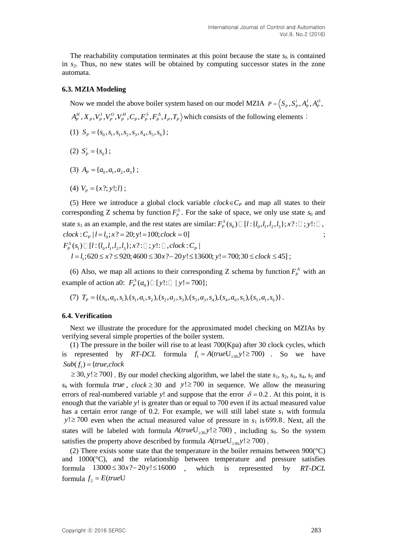The reachability computation terminates at this point because the state  $s<sub>6</sub>$  is contained in  $s_2$ . Thus, no new states will be obtained by computing successor states in the zone automata.

#### **6.3. MZIA Modeling**

Now we model the above boiler system based on our model MZIA  $P = (S_p, S_p^i, A_p^I, A_p^O)$ Now we model the above boiler system based on our model MZIA  $P = \langle S_p, S_p^i, A_p^I, A_p^I, A_p^I, A_p^H, X_p, V_p^I, V_p^O, V_p^H, C_p, F_p^S, F_p^A, I_p, T_p \rangle$  which consists of the following elements:

- (1)  $S_p = \{s_0, s_1, s_1, s_2, s_3, s_4, s_5, s_6\};$
- (2)  $S_P^i = \{s_0\};$
- (3)  $A_p = \{a_0, a_1, a_2, a_3\};$
- (4)  $V_p = \{x?; y!; l\};$

(5) Here we introduce a global clock variable  $clock \in C_P$  and map all states to their corresponding Z schema by function  $F_p^s$ . For the sake of space, we only use state  $s_0$  and corresponding Z schema by function  $r_p$ . For the sake of space, we only use state  $s_0$  and state  $s_1$  as an example, and the rest states are similar:  $F_p^s(s_0) \square [l : \{l_0, l_1, l_2, l_3\}; x ? : \square ; y : \square$ , state  $s_1$  as an example, and the rest states are si<br>  $clock: C_p | l = l_0; x ? = 20; y! = 100; clock = 0]$ ;  $F_p^S(s_1) \square [l : \{l_0, l_1, l_2, l_3\}; x ? : \square ; y! : \square , clock : C_p]$  $\nonumber \begin{aligned} & cck: C_P \, | \, l=l_0; x? = 20; y! = 100; clock = 0] \ & (s_1) \, \Box \, [l: \{l_0, l_1, l_2, l_3\}; x? : \Box \, ; y! : \Box \, , clock : C_P \, | \ & l=l_1; 620 \leq x? \leq 920; 4600 \leq 30x? - 20y! \leq 13600; y! = 700; 30 \leq clock \leq 45] \; ; \end{aligned}$ ;

(6) Also, we map all actions to their corresponding Z schema by function  $F_p^A$  with an example of action a0:  $F_p^S(a_0) \square [y! : \square | y! = 700]$ ;<br>
(7)  $T_p = \{(s_0, a_0, s_1), (s_1, a_1, s_2), (s_2, a_2, s_3), (s_3, a_3, s_4), (s_4, a_0, s_5), (s_5, a_1, s_6)\}$ 

(7) 
$$
T_p = \{(s_0, a_0, s_1), (s_1, a_1, s_2), (s_2, a_2, s_3), (s_3, a_3, s_4), (s_4, a_0, s_5), (s_5, a_1, s_6)\}
$$
.

#### **6.4. Verification**

Next we illustrate the procedure for the approximated model checking on MZIAs by verifying several simple properties of the boiler system.

(1) The pressure in the boiler will rise to at least 700(Kpa) after 30 clock cycles, which is represented by *RT-DCL* formula  $f_1 = A(trueU_{\geq 30}y! \geq 700)$ . So we have  $Sub(f_1) = {true, clock}$ 

 $\geq$  30,  $y$ ! $\geq$  700}. By our model checking algorithm, we label the state  $s_1$ ,  $s_2$ ,  $s_3$ ,  $s_4$ ,  $s_5$  and  $s_6$  with formula *true*,  $clock \ge 30$  and  $y! \ge 700$  in sequence. We allow the measuring errors of real-numbered variable y! and suppose that the error  $\delta = 0.2$ . At this point, it is enough that the variable *y*! is greater than or equal to 700 even if its actual measured value has a certain error range of 0.2. For example, we will still label state  $s_1$  with formula  $y! \ge 700$  even when the actual measured value of pressure in  $s_1$  is 699.8. Next, all the states will be labeled with formula  $A(trueU_{\geq 30}y! \geq 700)$ , including  $s_0$ . So the system satisfies the property above described by formula  $A(trueU_{\geq 30}y! \geq 700)$ .

(2) There exists some state that the temperature in the boiler remains between  $900^{\circ}$ °C) and  $1000$  ( $^{\circ}$ C), and the relationship between temperature and pressure satisfies and 1000(C), and the relationship<br>formula  $13000 \le 30x$ ?-20y! $\le 16000$ is represented by *RT-DCL* formula  $f_2 = E(\text{trueU})$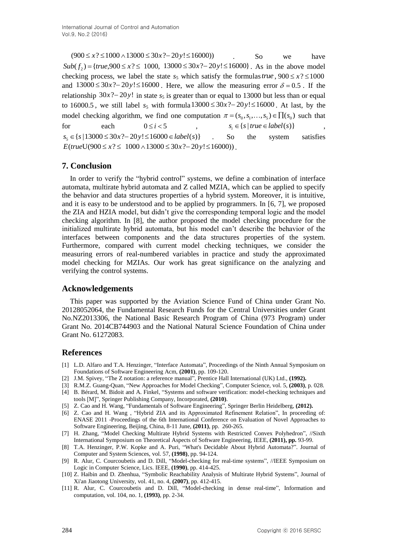$Sub(f_2) = {true,900 \le x? \le 1000, 13000 \le 30x? - 20y! \le 16000}$ . As in the above model checking process, we label the state  $s_5$  which satisfy the formulas *true*,  $900 \le x$ ?  $\le 1000$ checking process, we fabel the state  $s_5$  which satisfy the formulas *true*,  $900 \le x_i \le 1000$  and  $13000 \le 30x$ ?- $20y! \le 16000$ . Here, we allow the measuring error  $\delta = 0.5$ . If the relationship  $30x$ ?-20y! in state  $s_5$  is [greater](app:ds:greater) [than](app:ds:than) or equal to 13000 but [less](app:ds:less) than [or](app:ds:or) [equal](app:ds:equal) [to](app:ds:to)  $16000.5$ , we still label  $s_5$  with formula  $13000 \le 30x^2 - 20y \le 16000$ . At last, by the model checking algorithm, we find one computation  $\pi = (s_0, s_1, \ldots, s_5) \in \prod(s_0)$  such that for each  $0 \le i < 5$  ,  $s_i \in \{s \mid true \in label(s)\}$ , for each  $0 \le i < 5$ ,<br>  $s_5 \in \{ s \mid 13000 \le 30x ? - 20y! \le 16000 \in label(s) \}$ So the system satisfies  $E(trueU(900 \le x? \le 1000 \land 13000 \le 30x? - 20y! \le 16000)$ .

# **7. Conclusion**

 $(900 \times x) \approx (1000 \times 18)(00 \approx 20 \times 20) \times (16000)$ <br>
So we have<br>
Sole (5.) (= 1/mo, 000 30 (5.  $\approx$  2/000 - 3000 - 300 1-2014 (6000)). As in the above model<br>
and 2000 30 300  $\approx$  3000 13000 30 000 . Here, we allow the meaning p In order to verify the "hybrid control" systems, we define a combination of interface automata, multirate hybrid automata and Z called MZIA, which can be applied to specify the behavior and data structures properties of a hybrid system. Moreover, it is intuitive, and it is easy to be understood and to be applied by programmers. In [6, 7], we proposed the ZIA and HZIA model, but didn't give the corresponding temporal logic and the model checking algorithm. In [8], the author proposed the model checking procedure for the initialized multirate hybrid automata, but his model can't describe the behavior of the interfaces between components and the data structures properties of the system. Furthermore, compared with current model checking techniques, we consider the measuring errors of real-numbered variables in practice and study the approximated model checking for MZIAs. Our work has great significance on the analyzing and verifying the control systems.

# **Acknowledgements**

This paper was supported by the Aviation Science Fund of China under Grant No. 20128052064, the Fundamental Research Funds for the Central Universities under Grant No.NZ2013306, the National Basic Research Program of China (973 Program) under Grant No. 2014CB744903 and the National Natural Science Foundation of China under Grant No. 61272083.

# **References**

- [1] L.D. Alfaro and T.A. Henzinger, "Interface Automata", Proceedings of the Ninth Annual Symposium on Foundations of Software Engineering Acm, **(2001)**, pp. 109-120.
- [2] J.M. Spivey, "The Z notation: a reference manual", Prentice Hall International (UK) Ltd., **(1992).**
- [3] R.M.Z. Guang-Quan, "New Approaches for Model Checking", Computer Science, vol. 5, **(2003)**, p. 028.
- [4] B. Bérard, M. Bidoit and A. Finkel, "Systems and software verification: model-checking techniques and tools [M]", Springer Publishing Company, Incorporated, **(2010)**.
- [5] Z. Cao and H. Wang, "Fundamentals of Software Engineering", Springer Berlin Heidelberg, **(2012).**
- [6] Z. Cao and H. Wang , "Hybrid ZIA and its Approximated Refinement Relation", In proceeding of: ENASE 2011 -Proceedings of the 6th International Conference on Evaluation of Novel Approaches to Software Engineering, Beijing, China, 8-11 June, **(2011)**, pp. 260-265.
- [7] H. Zhang, "Model Checking Multirate Hybrid Systems with Restricted Convex Polyhedron", //Sixth International Symposium on Theoretical Aspects of Software Engineering, IEEE, **(2011), pp.** 93-99.
- [8] T.A. Henzinger, P.W. Kopke and A. Puri, "What's Decidable About Hybrid Automata?". Journal of Computer and System Sciences, vol. 57, **(1998)**, pp. 94-124.
- [9] R. Alur, C. Courcoubetis and D. Dill, "Model-checking for real-time systems", //IEEE Symposium on Logic in Computer Science, Lics. IEEE, **(1990)**, pp. 414-425.
- [10] Z. Haibin and D. Zhenhua, "Symbolic Reachability Analysis of Multirate Hybrid Systems", Journal of Xi'an Jiaotong University, vol. 41, no. 4, **(2007)**, pp. 412-415.
- [11] R. Alur, C. Courcoubetis and D. Dill, "Model-checking in dense real-time", Information and computation, vol. 104, no. 1, **(1993)**, pp. 2-34.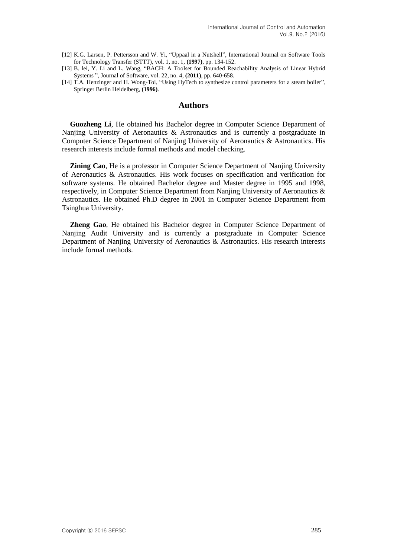- [12] K.G. Larsen, P. Pettersson and W. Yi, "Uppaal in a Nutshell", International Journal on Software Tools for Technology Transfer (STTT), vol. 1, no. 1, **(1997)**, pp. 134-152.
- [13] B. lei, Y. Li and L. Wang, "BACH: A Toolset for Bounded Reachability Analysis of Linear Hybrid Systems ", Journal of Software, vol. 22, no. 4, **(2011)**, pp. 640-658.
- [14] T.A. Henzinger and H. Wong-Toi, "Using HyTech to synthesize control parameters for a steam boiler", Springer Berlin Heidelberg, **(1996)**.

### **Authors**

**Guozheng Li**, He obtained his Bachelor degree in Computer Science Department of Nanjing University of Aeronautics & Astronautics and is currently a postgraduate in Computer Science Department of Nanjing University of Aeronautics & Astronautics. His research interests include formal methods and model checking.

**Zining Cao**, He is a professor in Computer Science Department of Nanjing University of Aeronautics & Astronautics. His work focuses on specification and verification for software systems. He obtained Bachelor degree and Master degree in 1995 and 1998, respectively, in Computer Science Department from Nanjing University of Aeronautics & Astronautics. He obtained Ph.D degree in 2001 in Computer Science Department from Tsinghua University.

**Zheng Gao**, He obtained his Bachelor degree in Computer Science Department of Nanjing Audit University and is currently a postgraduate in Computer Science Department of Nanjing University of Aeronautics & Astronautics. His research interests include formal methods.